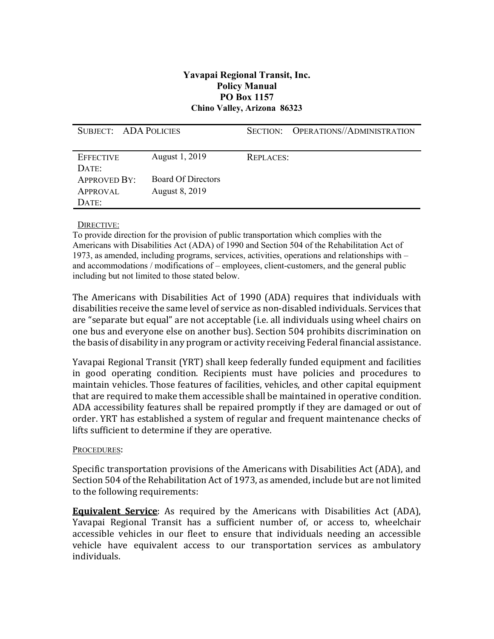## **Yavapai Regional Transit, Inc. Policy Manual PO Box 1157 Chino Valley, Arizona 86323**

| SUBJECT: ADA POLICIES |                           |                  | SECTION: OPERATIONS//ADMINISTRATION |
|-----------------------|---------------------------|------------------|-------------------------------------|
|                       |                           |                  |                                     |
| <b>EFFECTIVE</b>      | August 1, 2019            | <b>REPLACES:</b> |                                     |
| DATE:                 |                           |                  |                                     |
| <b>APPROVED BY:</b>   | <b>Board Of Directors</b> |                  |                                     |
| APPROVAL              | August 8, 2019            |                  |                                     |
| DATE:                 |                           |                  |                                     |

## DIRECTIVE:

To provide direction for the provision of public transportation which complies with the Americans with Disabilities Act (ADA) of 1990 and Section 504 of the Rehabilitation Act of 1973, as amended, including programs, services, activities, operations and relationships with – and accommodations / modifications of – employees, client-customers, and the general public including but not limited to those stated below.

The Americans with Disabilities Act of 1990 (ADA) requires that individuals with disabilities receive the same level of service as non-disabled individuals. Services that are "separate but equal" are not acceptable (i.e. all individuals using wheel chairs on one bus and everyone else on another bus). Section 504 prohibits discrimination on the basis of disability in any program or activity receiving Federal financial assistance.

Yavapai Regional Transit (YRT) shall keep federally funded equipment and facilities in good operating condition. Recipients must have policies and procedures to maintain vehicles. Those features of facilities, vehicles, and other capital equipment that are required to make them accessible shall be maintained in operative condition. ADA accessibility features shall be repaired promptly if they are damaged or out of order. YRT has established a system of regular and frequent maintenance checks of lifts sufficient to determine if they are operative.

## PROCEDURES:

Specific transportation provisions of the Americans with Disabilities Act (ADA), and Section 504 of the Rehabilitation Act of 1973, as amended, include but are not limited to the following requirements:

**Equivalent Service**: As required by the Americans with Disabilities Act (ADA), Yavapai Regional Transit has a sufficient number of, or access to, wheelchair accessible vehicles in our fleet to ensure that individuals needing an accessible vehicle have equivalent access to our transportation services as ambulatory individuals.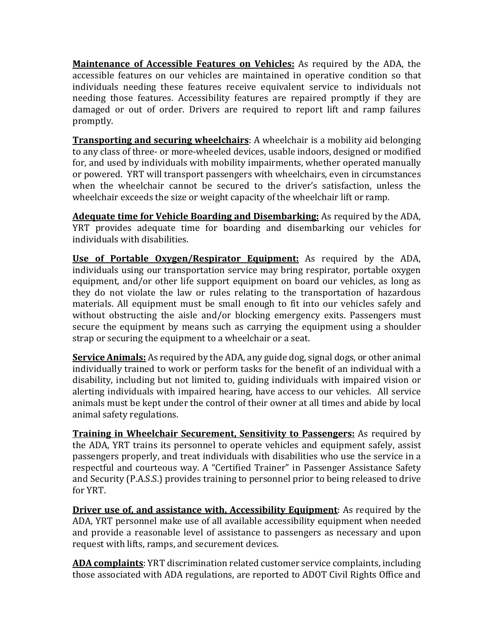**Maintenance of Accessible Features on Vehicles:** As required by the ADA, the accessible features on our vehicles are maintained in operative condition so that individuals needing these features receive equivalent service to individuals not needing those features. Accessibility features are repaired promptly if they are damaged or out of order. Drivers are required to report lift and ramp failures promptly.

**Transporting and securing wheelchairs**: A wheelchair is a mobility aid belonging to any class of three- or more-wheeled devices, usable indoors, designed or modified for, and used by individuals with mobility impairments, whether operated manually or powered. YRT will transport passengers with wheelchairs, even in circumstances when the wheelchair cannot be secured to the driver's satisfaction, unless the wheelchair exceeds the size or weight capacity of the wheelchair lift or ramp.

**Adequate time for Vehicle Boarding and Disembarking:** As required by the ADA, YRT provides adequate time for boarding and disembarking our vehicles for individuals with disabilities.

**Use of Portable Oxygen/Respirator Equipment:** As required by the ADA, individuals using our transportation service may bring respirator, portable oxygen equipment, and/or other life support equipment on board our vehicles, as long as they do not violate the law or rules relating to the transportation of hazardous materials. All equipment must be small enough to fit into our vehicles safely and without obstructing the aisle and/or blocking emergency exits. Passengers must secure the equipment by means such as carrying the equipment using a shoulder strap or securing the equipment to a wheelchair or a seat.

**Service Animals:** As required by the ADA, any guide dog, signal dogs, or other animal individually trained to work or perform tasks for the benefit of an individual with a disability, including but not limited to, guiding individuals with impaired vision or alerting individuals with impaired hearing, have access to our vehicles. All service animals must be kept under the control of their owner at all times and abide by local animal safety regulations.

**Training in Wheelchair Securement, Sensitivity to Passengers:** As required by the ADA, YRT trains its personnel to operate vehicles and equipment safely, assist passengers properly, and treat individuals with disabilities who use the service in a respectful and courteous way. A "Certified Trainer" in Passenger Assistance Safety and Security (P.A.S.S.) provides training to personnel prior to being released to drive for YRT.

**Driver use of, and assistance with, Accessibility Equipment:** As required by the ADA, YRT personnel make use of all available accessibility equipment when needed and provide a reasonable level of assistance to passengers as necessary and upon request with lifts, ramps, and securement devices.

**ADA complaints**: YRT discrimination related customer service complaints, including those associated with ADA regulations, are reported to ADOT Civil Rights Office and